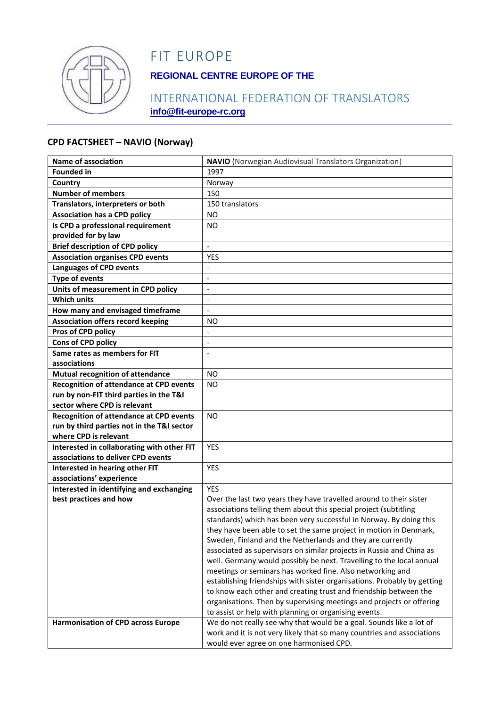

# FIT EUROPE

## **REGIONAL CENTRE EUROPE OF THE**

## INTERNATIONAL FEDERATION OF TRANSLATORS **info@fit-europe-rc.org**

#### **CPD FACTSHEET – NAVIO (Norway)**

| <b>Name of association</b>                     | <b>NAVIO</b> (Norwegian Audiovisual Translators Organization)           |
|------------------------------------------------|-------------------------------------------------------------------------|
| <b>Founded in</b>                              | 1997                                                                    |
| Country                                        | Norway                                                                  |
| <b>Number of members</b>                       | 150                                                                     |
| Translators, interpreters or both              | 150 translators                                                         |
| <b>Association has a CPD policy</b>            | <b>NO</b>                                                               |
| Is CPD a professional requirement              | NO.                                                                     |
| provided for by law                            |                                                                         |
| <b>Brief description of CPD policy</b>         | $\overline{\phantom{0}}$                                                |
| <b>Association organises CPD events</b>        | YES                                                                     |
| <b>Languages of CPD events</b>                 | $\blacksquare$                                                          |
| <b>Type of events</b>                          | $\overline{\phantom{a}}$                                                |
| Units of measurement in CPD policy             | $\overline{a}$                                                          |
| <b>Which units</b>                             | $\blacksquare$                                                          |
| How many and envisaged timeframe               |                                                                         |
| <b>Association offers record keeping</b>       | NO.                                                                     |
| Pros of CPD policy                             |                                                                         |
| Cons of CPD policy                             |                                                                         |
| Same rates as members for FIT                  | $\blacksquare$                                                          |
| associations                                   |                                                                         |
| <b>Mutual recognition of attendance</b>        | <b>NO</b>                                                               |
| <b>Recognition of attendance at CPD events</b> | <b>NO</b>                                                               |
| run by non-FIT third parties in the T&I        |                                                                         |
| sector where CPD is relevant                   |                                                                         |
| <b>Recognition of attendance at CPD events</b> | <b>NO</b>                                                               |
| run by third parties not in the T&I sector     |                                                                         |
| where CPD is relevant                          |                                                                         |
| Interested in collaborating with other FIT     | <b>YES</b>                                                              |
| associations to deliver CPD events             |                                                                         |
| Interested in hearing other FIT                | <b>YES</b>                                                              |
| associations' experience                       |                                                                         |
| Interested in identifying and exchanging       | <b>YES</b>                                                              |
| best practices and how                         | Over the last two years they have travelled around to their sister      |
|                                                | associations telling them about this special project (subtitling        |
|                                                | standards) which has been very successful in Norway. By doing this      |
|                                                | they have been able to set the same project in motion in Denmark,       |
|                                                | Sweden, Finland and the Netherlands and they are currently              |
|                                                | associated as supervisors on similar projects in Russia and China as    |
|                                                | well. Germany would possibly be next. Travelling to the local annual    |
|                                                | meetings or seminars has worked fine. Also networking and               |
|                                                | establishing friendships with sister organisations. Probably by getting |
|                                                | to know each other and creating trust and friendship between the        |
|                                                | organisations. Then by supervising meetings and projects or offering    |
|                                                | to assist or help with planning or organising events.                   |
| <b>Harmonisation of CPD across Europe</b>      | We do not really see why that would be a goal. Sounds like a lot of     |
|                                                | work and it is not very likely that so many countries and associations  |
|                                                | would ever agree on one harmonised CPD.                                 |